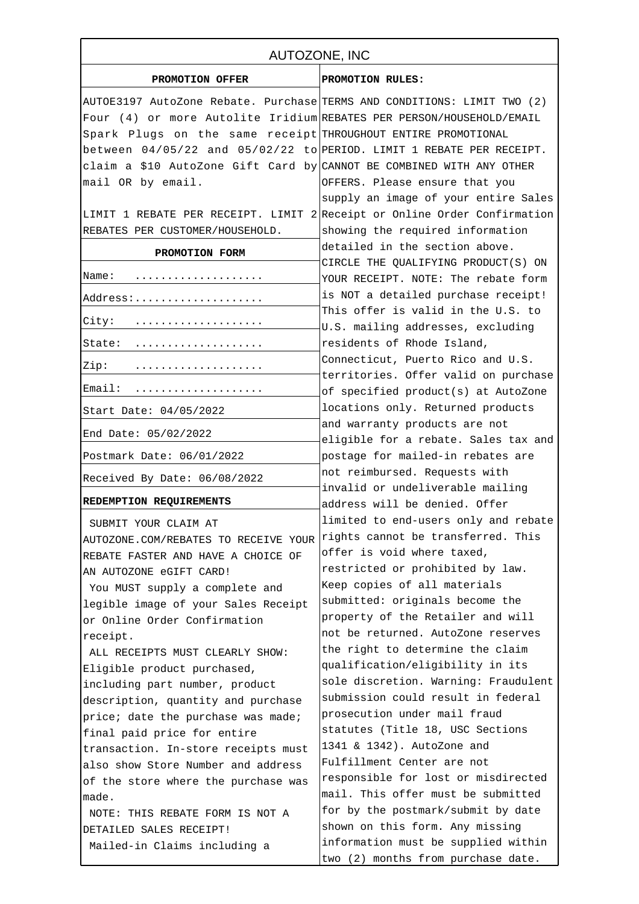| AUTOZONE, INC                                                            |                                                                             |
|--------------------------------------------------------------------------|-----------------------------------------------------------------------------|
| PROMOTION OFFER                                                          | PROMOTION RULES:                                                            |
| AUTOE3197 AutoZone Rebate. Purchase TERMS AND CONDITIONS: LIMIT TWO (2)  |                                                                             |
| Four (4) or more Autolite Iridium REBATES PER PERSON/HOUSEHOLD/EMAIL     |                                                                             |
| Spark Plugs on the same receipt THROUGHOUT ENTIRE PROMOTIONAL            |                                                                             |
| between $04/05/22$ and $05/02/22$ to PERIOD. LIMIT 1 REBATE PER RECEIPT. |                                                                             |
| claim a \$10 AutoZone Gift Card by CANNOT BE COMBINED WITH ANY OTHER     |                                                                             |
| mail OR by email.                                                        | OFFERS. Please ensure that you                                              |
|                                                                          | supply an image of your entire Sales                                        |
|                                                                          | LIMIT 1 REBATE PER RECEIPT. LIMIT 2 Receipt or Online Order Confirmation    |
| REBATES PER CUSTOMER/HOUSEHOLD.                                          | showing the required information                                            |
| PROMOTION FORM                                                           | detailed in the section above.                                              |
|                                                                          | CIRCLE THE QUALIFYING PRODUCT(S) ON                                         |
| Name:                                                                    | YOUR RECEIPT. NOTE: The rebate form                                         |
| Address:                                                                 | is NOT a detailed purchase receipt!                                         |
| City:                                                                    | This offer is valid in the U.S. to                                          |
|                                                                          | U.S. mailing addresses, excluding                                           |
| State:                                                                   | residents of Rhode Island,                                                  |
| Zip:                                                                     | Connecticut, Puerto Rico and U.S.                                           |
| Email:                                                                   | territories. Offer valid on purchase<br>of specified product(s) at AutoZone |
| Start Date: 04/05/2022                                                   | locations only. Returned products                                           |
| End Date: 05/02/2022                                                     | and warranty products are not<br>eligible for a rebate. Sales tax and       |
| Postmark Date: 06/01/2022                                                | postage for mailed-in rebates are                                           |
| Received By Date: 06/08/2022                                             | not reimbursed. Requests with                                               |
| REDEMPTION REQUIREMENTS                                                  | invalid or undeliverable mailing<br>address will be denied. Offer           |
| SUBMIT YOUR CLAIM AT                                                     | limited to end-users only and rebate                                        |
| AUTOZONE.COM/REBATES TO RECEIVE YOUR                                     | rights cannot be transferred. This                                          |
| REBATE FASTER AND HAVE A CHOICE OF                                       | offer is void where taxed,                                                  |
| AN AUTOZONE eGIFT CARD!                                                  | restricted or prohibited by law.                                            |
| You MUST supply a complete and                                           | Keep copies of all materials                                                |
| legible image of your Sales Receipt                                      | submitted: originals become the                                             |
| or Online Order Confirmation                                             | property of the Retailer and will                                           |
| receipt.                                                                 | not be returned. AutoZone reserves                                          |
| ALL RECEIPTS MUST CLEARLY SHOW:                                          | the right to determine the claim                                            |
| Eligible product purchased,                                              | qualification/eligibility in its                                            |
| including part number, product                                           | sole discretion. Warning: Fraudulent                                        |
| description, quantity and purchase                                       | submission could result in federal                                          |
| price; date the purchase was made;                                       | prosecution under mail fraud                                                |
| final paid price for entire                                              | statutes (Title 18, USC Sections                                            |
| transaction. In-store receipts must                                      | 1341 & 1342). AutoZone and<br>Fulfillment Center are not                    |
| also show Store Number and address                                       | responsible for lost or misdirected                                         |
| of the store where the purchase was                                      | mail. This offer must be submitted                                          |
| made.                                                                    | for by the postmark/submit by date                                          |
| NOTE: THIS REBATE FORM IS NOT A                                          | shown on this form. Any missing                                             |
| DETAILED SALES RECEIPT!                                                  | information must be supplied within                                         |
| Mailed-in Claims including a                                             | two (2) months from purchase date.                                          |